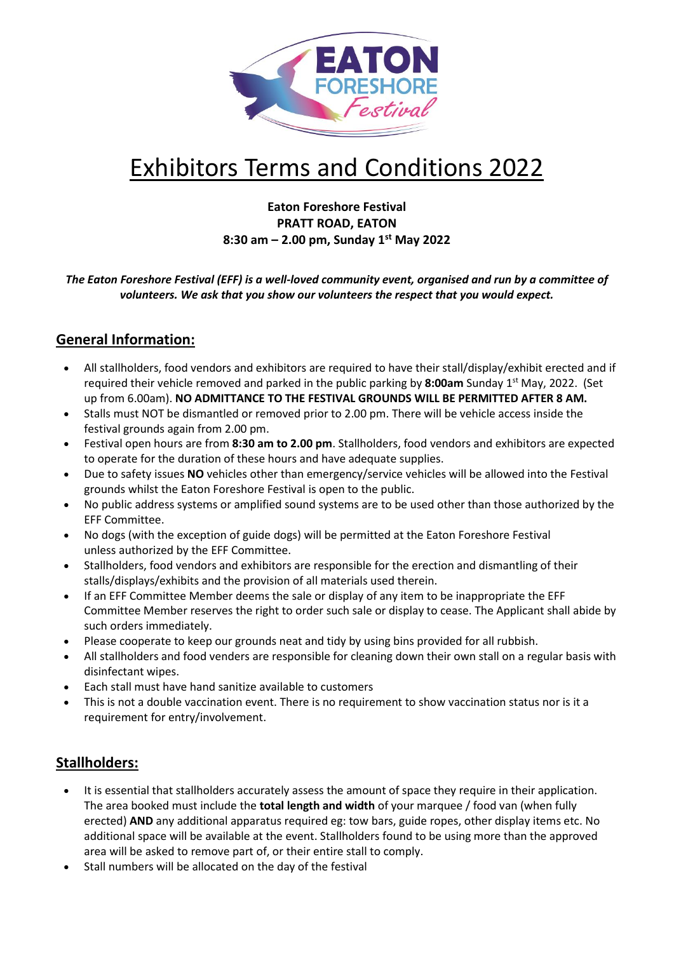

# Exhibitors Terms and Conditions 2022

# **Eaton Foreshore Festival PRATT ROAD, EATON 8:30 am – 2.00 pm, Sunday 1 st May 2022**

*The Eaton Foreshore Festival (EFF) is a well-loved community event, organised and run by a committee of volunteers. We ask that you show our volunteers the respect that you would expect.*

# **General Information:**

- All stallholders, food vendors and exhibitors are required to have their stall/display/exhibit erected and if required their vehicle removed and parked in the public parking by 8:00am Sunday 1<sup>st</sup> May, 2022. (Set up from 6.00am). **NO ADMITTANCE TO THE FESTIVAL GROUNDS WILL BE PERMITTED AFTER 8 AM.**
- Stalls must NOT be dismantled or removed prior to 2.00 pm. There will be vehicle access inside the festival grounds again from 2.00 pm.
- Festival open hours are from **8:30 am to 2.00 pm**. Stallholders, food vendors and exhibitors are expected to operate for the duration of these hours and have adequate supplies.
- Due to safety issues **NO** vehicles other than emergency/service vehicles will be allowed into the Festival grounds whilst the Eaton Foreshore Festival is open to the public.
- No public address systems or amplified sound systems are to be used other than those authorized by the EFF Committee.
- No dogs (with the exception of guide dogs) will be permitted at the Eaton Foreshore Festival unless authorized by the EFF Committee.
- Stallholders, food vendors and exhibitors are responsible for the erection and dismantling of their stalls/displays/exhibits and the provision of all materials used therein.
- If an EFF Committee Member deems the sale or display of any item to be inappropriate the EFF Committee Member reserves the right to order such sale or display to cease. The Applicant shall abide by such orders immediately.
- Please cooperate to keep our grounds neat and tidy by using bins provided for all rubbish.
- All stallholders and food venders are responsible for cleaning down their own stall on a regular basis with disinfectant wipes.
- Each stall must have hand sanitize available to customers
- This is not a double vaccination event. There is no requirement to show vaccination status nor is it a requirement for entry/involvement.

# **Stallholders:**

- It is essential that stallholders accurately assess the amount of space they require in their application. The area booked must include the **total length and width** of your marquee / food van (when fully erected) **AND** any additional apparatus required eg: tow bars, guide ropes, other display items etc. No additional space will be available at the event. Stallholders found to be using more than the approved area will be asked to remove part of, or their entire stall to comply.
- Stall numbers will be allocated on the day of the festival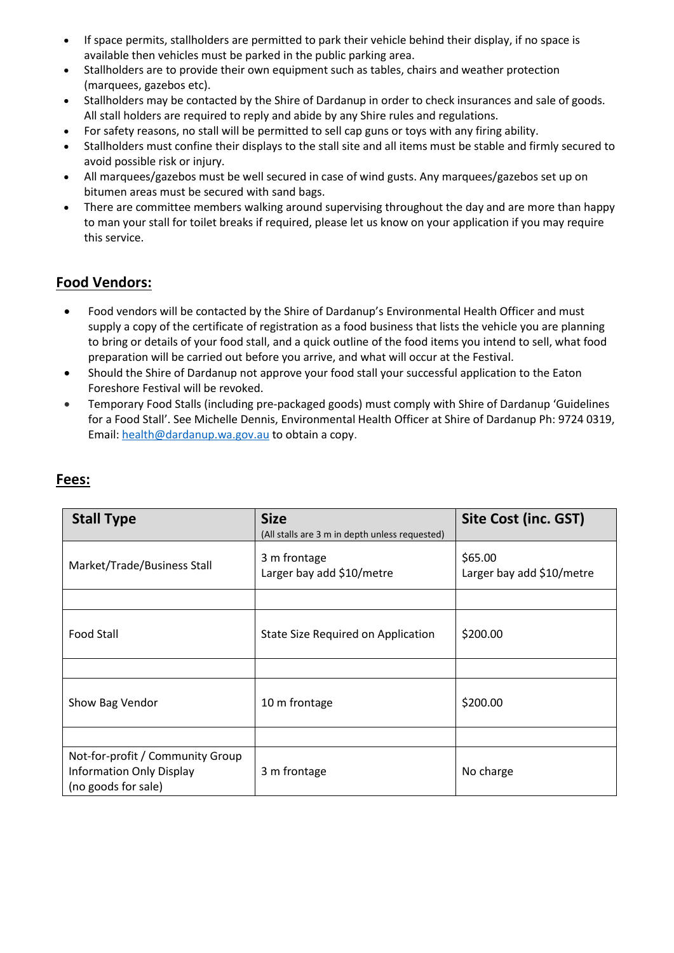- If space permits, stallholders are permitted to park their vehicle behind their display, if no space is available then vehicles must be parked in the public parking area.
- Stallholders are to provide their own equipment such as tables, chairs and weather protection (marquees, gazebos etc).
- Stallholders may be contacted by the Shire of Dardanup in order to check insurances and sale of goods. All stall holders are required to reply and abide by any Shire rules and regulations.
- For safety reasons, no stall will be permitted to sell cap guns or toys with any firing ability.
- Stallholders must confine their displays to the stall site and all items must be stable and firmly secured to avoid possible risk or injury.
- All marquees/gazebos must be well secured in case of wind gusts. Any marquees/gazebos set up on bitumen areas must be secured with sand bags.
- There are committee members walking around supervising throughout the day and are more than happy to man your stall for toilet breaks if required, please let us know on your application if you may require this service.

# **Food Vendors:**

- Food vendors will be contacted by the Shire of Dardanup's Environmental Health Officer and must supply a copy of the certificate of registration as a food business that lists the vehicle you are planning to bring or details of your food stall, and a quick outline of the food items you intend to sell, what food preparation will be carried out before you arrive, and what will occur at the Festival.
- Should the Shire of Dardanup not approve your food stall your successful application to the Eaton Foreshore Festival will be revoked.
- Temporary Food Stalls (including pre-packaged goods) must comply with Shire of Dardanup 'Guidelines for a Food Stall'. See Michelle Dennis, Environmental Health Officer at Shire of Dardanup Ph: 9724 0319, Email: [health@dardanup.wa.gov.au](mailto:health@dardanup.wa.gov.au) to obtain a copy.

| <b>Stall Type</b>                                                                          | <b>Size</b><br>(All stalls are 3 m in depth unless requested) | <b>Site Cost (inc. GST)</b>          |
|--------------------------------------------------------------------------------------------|---------------------------------------------------------------|--------------------------------------|
| Market/Trade/Business Stall                                                                | 3 m frontage<br>Larger bay add \$10/metre                     | \$65.00<br>Larger bay add \$10/metre |
|                                                                                            |                                                               |                                      |
| <b>Food Stall</b>                                                                          | State Size Required on Application                            | \$200.00                             |
|                                                                                            |                                                               |                                      |
| Show Bag Vendor                                                                            | 10 m frontage                                                 | \$200.00                             |
|                                                                                            |                                                               |                                      |
| Not-for-profit / Community Group<br><b>Information Only Display</b><br>(no goods for sale) | 3 m frontage                                                  | No charge                            |

# **Fees:**